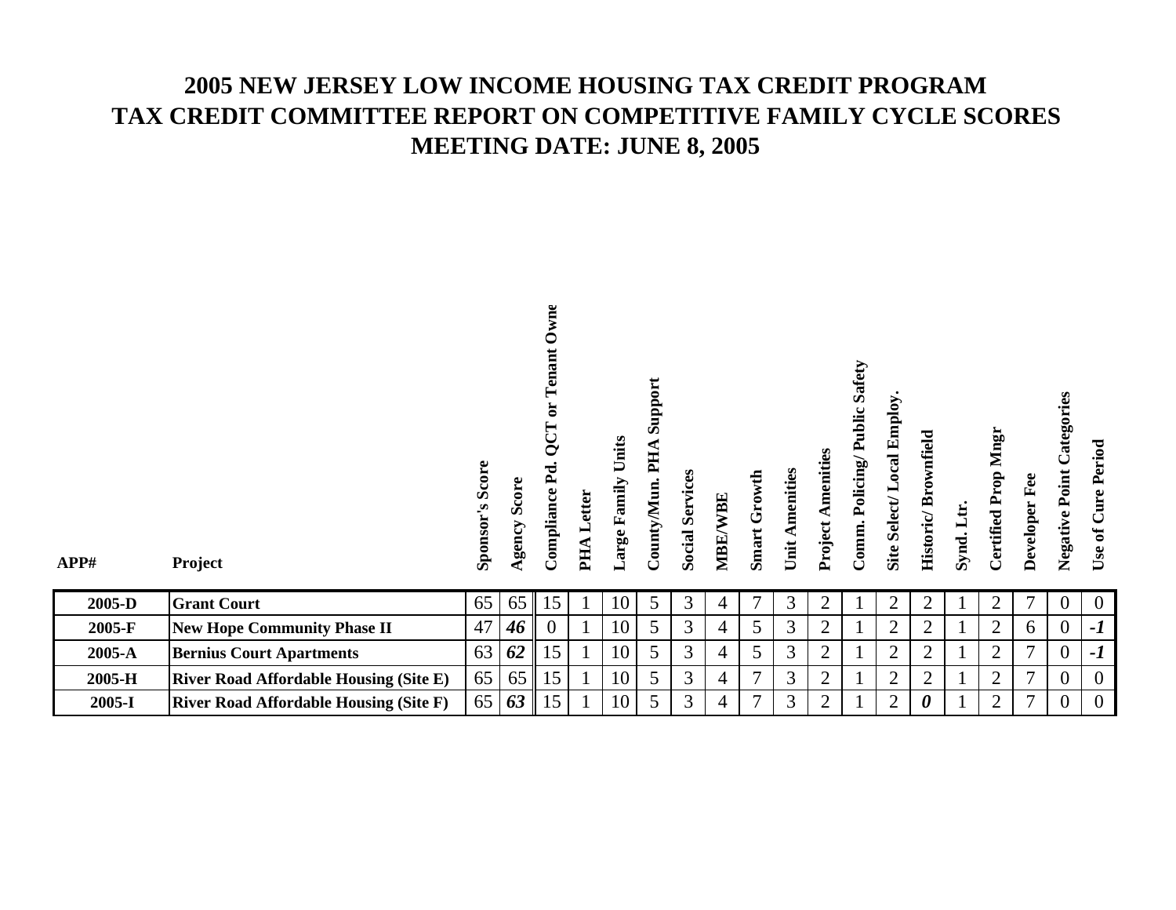## **2005 NEW JERSEY LOW INCOME HOUSING TAX CREDIT PROGRAMTAX CREDIT COMMITTEE REPORT ON COMPETITIVE FAMILY CYCLE SCORES MEETING DATE: JUNE 8, 2005**

| APP#   | Project                                       | Sponsor's Score | Score<br>Agency | wne<br>Ć<br>ant<br>5<br>ä<br><b>QCT</b><br>$\mathbf{P}$ d<br>Compliance | Letter<br>PHA | Units<br>Large Family | Support<br>PHA<br>County/Mun | <b>Social Services</b> | MBE/WBE        | Smart Growth | Unit Amenities | <b>Project Amenities</b> | <b>Public Safety</b><br>Comm. Policing/ | cal Employ<br>Š<br>Site Select/ | Historic/Brownfield | Synd. Ltr. | Mngr<br>Prop<br>Certified | Developer Fee | Categories<br>Point<br>Negative | Cure Period<br>Use of |
|--------|-----------------------------------------------|-----------------|-----------------|-------------------------------------------------------------------------|---------------|-----------------------|------------------------------|------------------------|----------------|--------------|----------------|--------------------------|-----------------------------------------|---------------------------------|---------------------|------------|---------------------------|---------------|---------------------------------|-----------------------|
| 2005-D | <b>Grant Court</b>                            | 65              | 65              | 15                                                                      |               | 10                    | 5                            | 3                      | 4              | 7            | 3              | $\overline{2}$           |                                         | $\overline{2}$                  | $\overline{2}$      |            | 2                         | 7             | $\overline{0}$                  | $\overline{0}$        |
| 2005-F | <b>New Hope Community Phase II</b>            | 47              | 46 <sup>°</sup> | $\overline{0}$                                                          |               | 10                    | 5                            | 3                      | 4              | 5            | 3              | $\overline{2}$           |                                         | $\overline{2}$                  | $\overline{2}$      |            | 2                         | 6             | $\overline{0}$                  | $-I$                  |
| 2005-A | <b>Bernius Court Apartments</b>               | 63              | 62              | 15                                                                      |               | 10                    | 5                            | 3                      | $\overline{4}$ | 5            | 3              | $\overline{2}$           |                                         | $\overline{2}$                  | $\overline{2}$      |            | 2                         | 7             | $\overline{0}$                  | $-I$                  |
|        |                                               |                 |                 |                                                                         |               |                       |                              |                        |                |              |                |                          |                                         |                                 |                     |            |                           |               |                                 |                       |
| 2005-H | <b>River Road Affordable Housing (Site E)</b> | 65              | 65              | 15                                                                      |               | 10                    | 5                            | 3                      | 4              | 7            | 3              | $\overline{2}$           |                                         | $\overline{2}$                  | $\overline{2}$      |            | $\overline{2}$            | 7             | $\overline{0}$                  | $\Omega$              |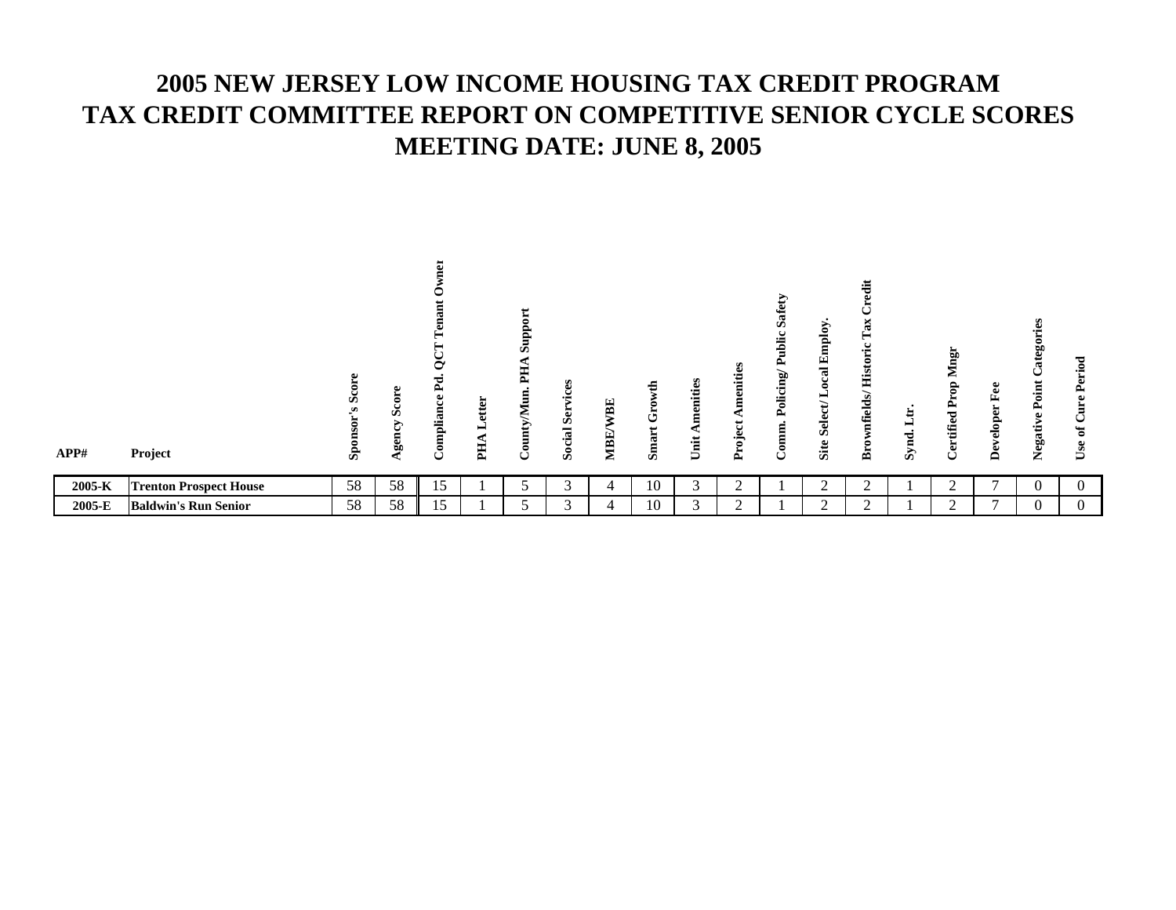## **2005 NEW JERSEY LOW INCOME HOUSING TAX CREDIT PROGRAM TAX CREDIT COMMITTEE REPORT ON COMPETITIVE SENIOR CYCLE SCORES MEETING DATE: JUNE 8, 2005**

| APP#   | Project                       | U<br>க | Φ<br>Ξ<br>s<br>⋗<br>5.<br>g, | ਨ<br>- 73<br>ω<br>e i<br>⋍<br>$\mathbf{q}$ | tter<br>ъ<br>E | Ò.<br>≖<br>B | B<br>ō<br>Б<br>Ō<br>ocial<br>Ø. | BE<br>MBE. | €<br>ڻ<br>art<br>$\sin$ | S.<br>eniti<br>ε<br>Ħ<br>∍ | nities<br>ю<br>oject<br>ዺ | $\overline{\mathbf{s}}$<br>b.<br>آأ:<br>휭<br>≏ | $\mathbf{S}$<br>Ē<br>臼<br>ಡ<br>ਜ਼<br>-e<br>Ø<br>Site | 這<br>a<br>⊶<br>⊶<br>$_{\rm elds}$<br>É<br>菡 | ت<br>⊣<br>≂<br>$\mathbf{S}$ | ign<br>▱<br>ಕಿ<br><u>ڀ</u><br>≏<br>tified<br>Cer | 8<br>匤<br>는<br>ခြ<br>$\bullet$<br>≏ | B<br>ğ0<br>D<br>ਜ਼<br>ن<br>Point<br>Negative | riod<br>$\bullet$<br>≏<br>ω<br>◡<br>ಕ<br>Use |
|--------|-------------------------------|--------|------------------------------|--------------------------------------------|----------------|--------------|---------------------------------|------------|-------------------------|----------------------------|---------------------------|------------------------------------------------|------------------------------------------------------|---------------------------------------------|-----------------------------|--------------------------------------------------|-------------------------------------|----------------------------------------------|----------------------------------------------|
| 2005-K | <b>Trenton Prospect House</b> | 58     | 58                           | 15                                         |                |              | ⌒                               | 4          | 10                      |                            | $\sqrt{2}$                |                                                |                                                      |                                             |                             | ∠                                                |                                     | U                                            | 0                                            |
| 2005-E | <b>Baldwin's Run Senior</b>   | 58     | 58                           | 15                                         |                |              | $\sim$                          |            | 10                      | $\sim$                     | $\bigcap$                 |                                                | ⌒                                                    | $\sim$                                      |                             |                                                  | $\mathbf{r}$                        |                                              | $\Omega$                                     |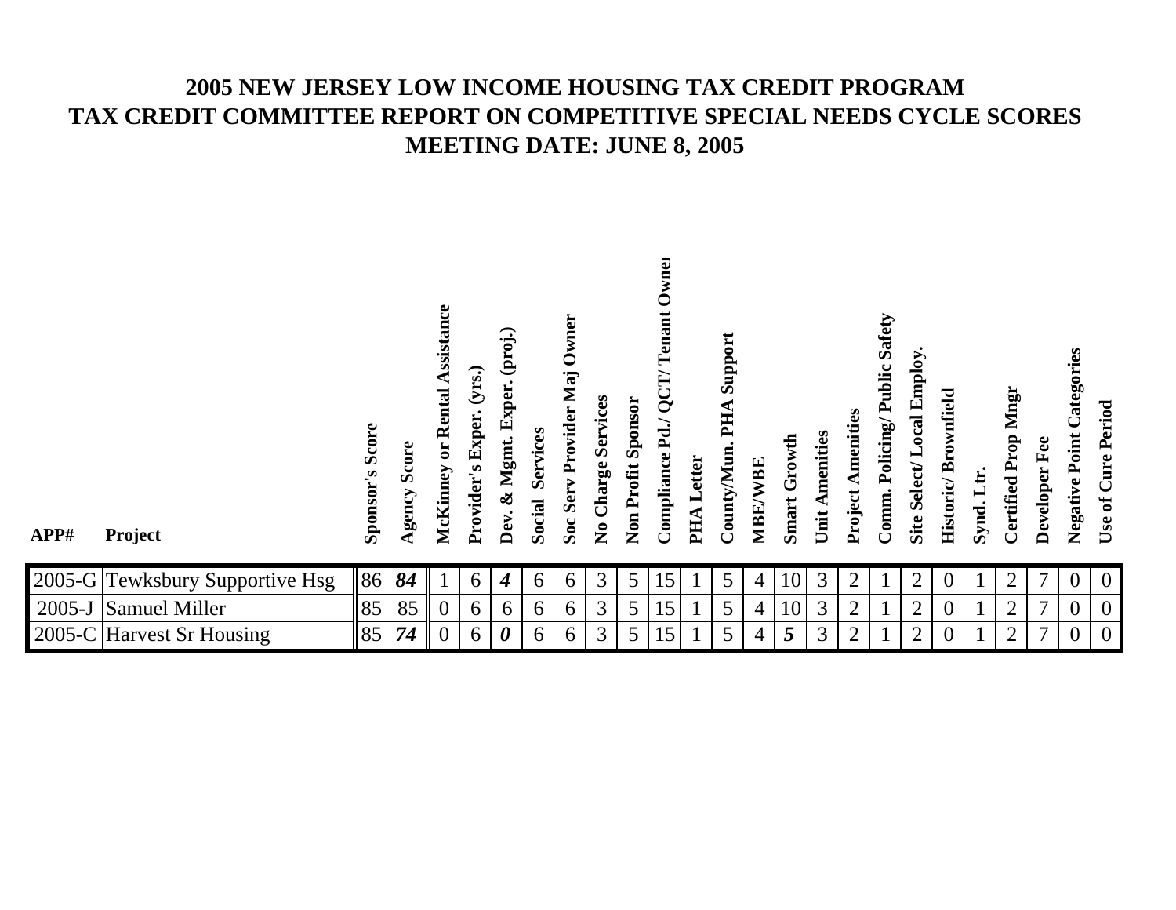## **2005 NEW JERSEY LOW INCOME HOUSING TAX CREDIT PROGRAMTAX CREDIT COMMITTEE REPORT ON COMPETITIVE SPECIAL NEEDS CYCLE SCORES MEETING DATE: JUNE 8, 2005**

| APP#       | Project                         | Score<br>Sponsor's | Score<br>Agency | Assistance<br>or Rental<br>McKinney | (yrs.)<br>Provider's Exper. | (proj.)<br>xper.<br>闰<br>Mgmt.<br>X<br>Dev. | Services<br>Social | Owner<br>Soc Serv Provider Maj | No Charge Services | Non Profit Sponsor | wnei<br>Tenant<br>QCD'<br>$_{\rm Pd}$ ./<br>Compliance | Letter<br>PHA | Support<br>PHA<br>County/Mun | WBE<br>MBE/ | Growth<br>Smart | Amenities<br>Unit. | Amenities<br>Project. | ublic Safety<br>Â,<br>Policing<br>Comm. | Employ.<br>Site Select/Local | Brownfield<br>Historic/ | $\mathbf{H}$<br>Synd. | Mngr<br><b>Certified Prop</b> | Developer Fee  | Categories<br>Negative Point | Use of Cure Period |
|------------|---------------------------------|--------------------|-----------------|-------------------------------------|-----------------------------|---------------------------------------------|--------------------|--------------------------------|--------------------|--------------------|--------------------------------------------------------|---------------|------------------------------|-------------|-----------------|--------------------|-----------------------|-----------------------------------------|------------------------------|-------------------------|-----------------------|-------------------------------|----------------|------------------------------|--------------------|
|            | 2005-G Tewksbury Supportive Hsg | 86                 | 84              |                                     | 6                           | 4                                           | 6                  | 6                              | 3                  | 5                  | 15                                                     |               | 5                            | 4           | 10              | 3                  | $\overline{2}$        |                                         | 2                            |                         |                       | 2                             | 7              | 0                            | $\overline{0}$     |
| $2005 - J$ | Samuel Miller                   | 85                 | 85              | $\theta$                            | 6                           | 6                                           | 6                  | 6                              | 3                  | 5                  | 15                                                     |               | 5                            | 4           | 10              | 3                  | $\overline{2}$        |                                         | 2                            |                         |                       | $\overline{2}$                | $\overline{7}$ | $\overline{0}$               | $\boldsymbol{0}$   |
|            | 2005-C Harvest Sr Housing       | 85                 | 74              | $\theta$                            | 6                           | 0                                           | 6                  | 6                              | 3                  | 5                  | 15                                                     |               | 5                            | 4           | 5               | 3                  | $\overline{2}$        |                                         | 2                            |                         |                       | 2                             | 7              | $\theta$                     | $\overline{0}$     |